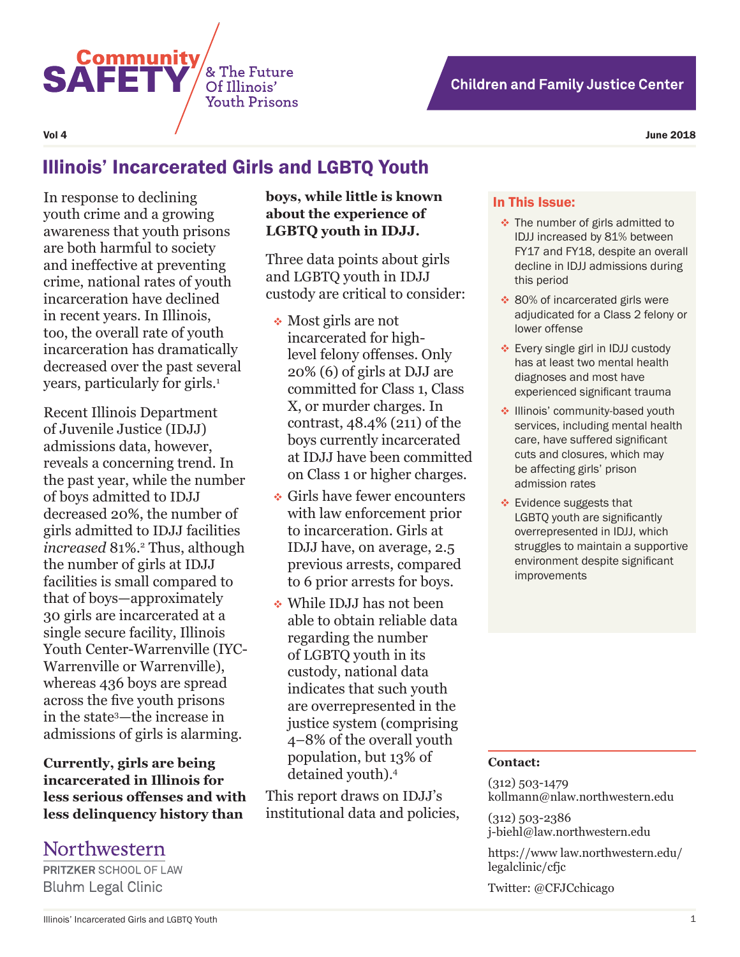



# Illinois' Incarcerated Girls and LGBTQ Youth

& The Future

Of Illinois' **Youth Prisons** 

In response to declining youth crime and a growing awareness that youth prisons are both harmful to society and ineffective at preventing crime, national rates of youth incarceration have declined in recent years. In Illinois, too, the overall rate of youth incarceration has dramatically decreased over the past several years, particularly for girls.<sup>1</sup>

**Community** 

**SAFET** 

Recent Illinois Department of Juvenile Justice (IDJJ) admissions data, however, reveals a concerning trend. In the past year, while the number of boys admitted to IDJJ decreased 20%, the number of girls admitted to IDJJ facilities increased 81%.<sup>2</sup> Thus, although the number of girls at IDJJ facilities is small compared to that of boys—approximately 30 girls are incarcerated at a single secure facility, Illinois Youth Center-Warrenville (IYC-Warrenville or Warrenville), whereas 436 boys are spread across the five youth prisons in the state3 —the increase in admissions of girls is alarming.

**Currently, girls are being incarcerated in Illinois for less serious offenses and with less delinquency history than** 

## Northwestern

**PRITZKER SCHOOL OF LAW Bluhm Legal Clinic** 

**boys, while little is known about the experience of LGBTQ youth in IDJJ.**

Three data points about girls and LGBTQ youth in IDJJ custody are critical to consider:

- Most girls are not incarcerated for highlevel felony offenses. Only 20% (6) of girls at DJJ are committed for Class 1, Class X, or murder charges. In contrast, 48.4% (211) of the boys currently incarcerated at IDJJ have been committed on Class 1 or higher charges.
- Girls have fewer encounters with law enforcement prior to incarceration. Girls at IDJJ have, on average, 2.5 previous arrests, compared to 6 prior arrests for boys.
- While IDJJ has not been able to obtain reliable data regarding the number of LGBTQ youth in its custody, national data indicates that such youth are overrepresented in the justice system (comprising 4–8% of the overall youth population, but 13% of detained youth).4

This report draws on IDJJ's institutional data and policies,

#### In This Issue:

- The number of girls admitted to IDJJ increased by 81% between FY17 and FY18, despite an overall decline in IDJJ admissions during this period
- ◆ 80% of incarcerated girls were adjudicated for a Class 2 felony or lower offense
- Every single girl in IDJJ custody has at least two mental health diagnoses and most have experienced significant trauma
- Illinois' community-based youth services, including mental health care, have suffered significant cuts and closures, which may be affecting girls' prison admission rates
- ❖ Evidence suggests that LGBTQ youth are significantly overrepresented in IDJJ, which struggles to maintain a supportive environment despite significant improvements

#### **Contact:**

(312) 503-1479 kollmann@nlaw.northwestern.edu

(312) 503-2386 j-biehl@law.northwestern.edu

https://www law.northwestern.edu/ legalclinic/cfjc

Twitter: @CFJCchicago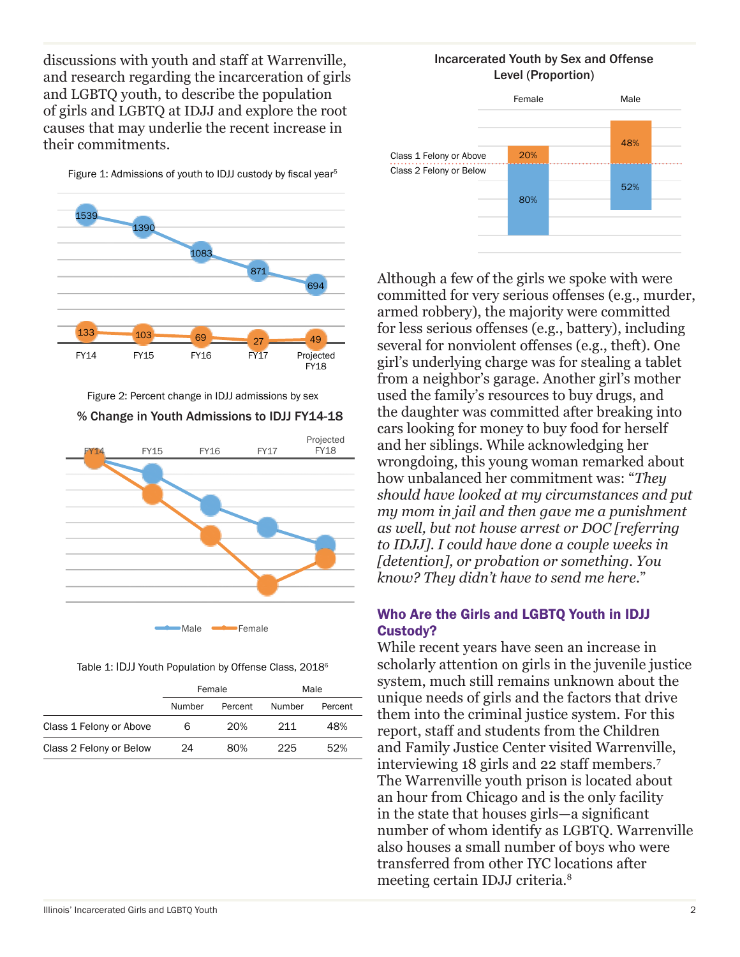discussions with youth and staff at Warrenville, and research regarding the incarceration of girls and LGBTQ youth, to describe the population of girls and LGBTQ at IDJJ and explore the root causes that may underlie the recent increase in their commitments.

Figure 1: Admissions of youth to IDJJ custody by fiscal year<sup>5</sup>



Figure 2: Percent change in IDJJ admissions by sex

#### % Change in Youth Admissions to IDJJ FY14-18



Male **- Female** 

Table 1: IDJJ Youth Population by Offense Class, 2018<sup>6</sup>

|                         | Female |         | Male   |         |
|-------------------------|--------|---------|--------|---------|
|                         | Number | Percent | Number | Percent |
| Class 1 Felony or Above | 6      | 20%     | 211    | 48%     |
| Class 2 Felony or Below | 24     | 80%     | 225    | 52%     |

#### Incarcerated Youth by Sex and Offense Level (Proportion)



Although a few of the girls we spoke with were committed for very serious offenses (e.g., murder, armed robbery), the majority were committed for less serious offenses (e.g., battery), including several for nonviolent offenses (e.g., theft). One girl's underlying charge was for stealing a tablet from a neighbor's garage. Another girl's mother used the family's resources to buy drugs, and the daughter was committed after breaking into cars looking for money to buy food for herself and her siblings. While acknowledging her wrongdoing, this young woman remarked about how unbalanced her commitment was: "*They should have looked at my circumstances and put my mom in jail and then gave me a punishment as well, but not house arrest or DOC [referring to IDJJ]. I could have done a couple weeks in [detention], or probation or something. You know? They didn't have to send me here.*"

#### Who Are the Girls and LGBTQ Youth in IDJJ Custody?

While recent years have seen an increase in scholarly attention on girls in the juvenile justice system, much still remains unknown about the unique needs of girls and the factors that drive them into the criminal justice system. For this report, staff and students from the Children and Family Justice Center visited Warrenville, interviewing 18 girls and 22 staff members.7 The Warrenville youth prison is located about an hour from Chicago and is the only facility in the state that houses girls—a significant number of whom identify as LGBTQ. Warrenville also houses a small number of boys who were transferred from other IYC locations after meeting certain IDJJ criteria.8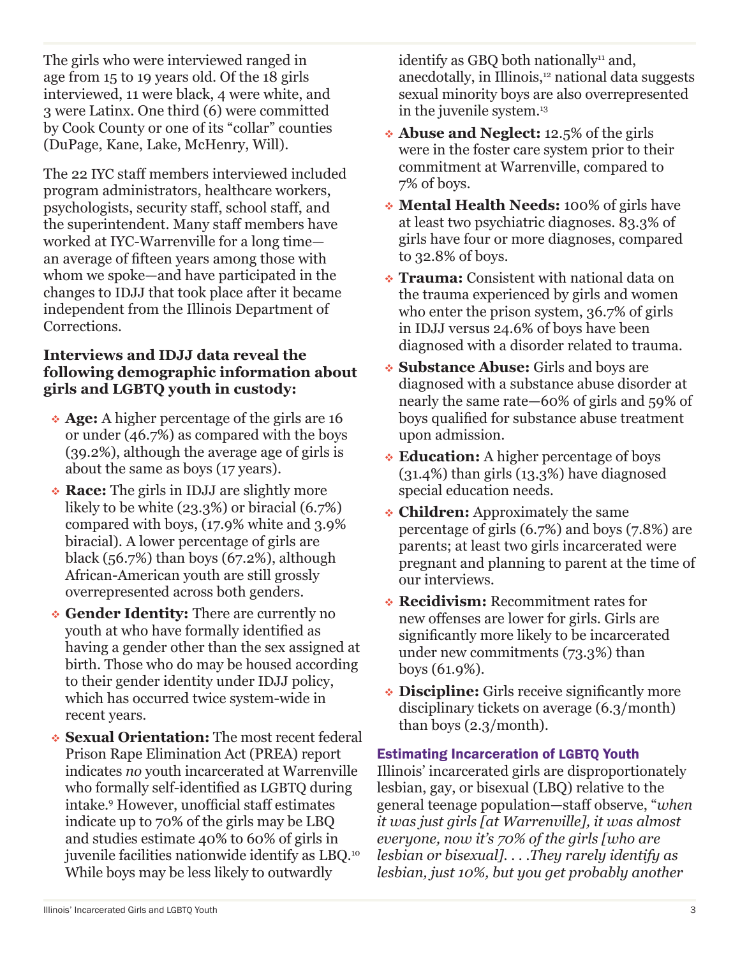The girls who were interviewed ranged in age from 15 to 19 years old. Of the 18 girls interviewed, 11 were black, 4 were white, and 3 were Latinx. One third (6) were committed by Cook County or one of its "collar" counties (DuPage, Kane, Lake, McHenry, Will).

The 22 IYC staff members interviewed included program administrators, healthcare workers, psychologists, security staff, school staff, and the superintendent. Many staff members have worked at IYC-Warrenville for a long time an average of fifteen years among those with whom we spoke—and have participated in the changes to IDJJ that took place after it became independent from the Illinois Department of Corrections.

### **Interviews and IDJJ data reveal the following demographic information about girls and LGBTQ youth in custody:**

- **Age:** A higher percentage of the girls are 16 or under (46.7%) as compared with the boys (39.2%), although the average age of girls is about the same as boys (17 years).
- **Race:** The girls in IDJJ are slightly more likely to be white (23.3%) or biracial (6.7%) compared with boys, (17.9% white and 3.9% biracial). A lower percentage of girls are black  $(56.7%)$  than boys  $(67.2%)$ , although African-American youth are still grossly overrepresented across both genders.
- **Gender Identity:** There are currently no youth at who have formally identified as having a gender other than the sex assigned at birth. Those who do may be housed according to their gender identity under IDJJ policy, which has occurred twice system-wide in recent years.
- **Sexual Orientation:** The most recent federal Prison Rape Elimination Act (PREA) report indicates *no* youth incarcerated at Warrenville who formally self-identified as LGBTQ during intake.9 However, unofficial staff estimates indicate up to 70% of the girls may be LBQ and studies estimate 40% to 60% of girls in juvenile facilities nationwide identify as LBQ.10 While boys may be less likely to outwardly

identify as GBQ both nationally $11$  and, anecdotally, in Illinois,<sup>12</sup> national data suggests sexual minority boys are also overrepresented in the juvenile system.<sup>13</sup>

- **Abuse and Neglect:** 12.5% of the girls were in the foster care system prior to their commitment at Warrenville, compared to 7% of boys.
- **Mental Health Needs:** 100% of girls have at least two psychiatric diagnoses. 83.3% of girls have four or more diagnoses, compared to 32.8% of boys.
- **Trauma:** Consistent with national data on the trauma experienced by girls and women who enter the prison system, 36.7% of girls in IDJJ versus 24.6% of boys have been diagnosed with a disorder related to trauma.
- **Substance Abuse:** Girls and boys are diagnosed with a substance abuse disorder at nearly the same rate—60% of girls and 59% of boys qualified for substance abuse treatment upon admission.
- **Education:** A higher percentage of boys (31.4%) than girls (13.3%) have diagnosed special education needs.
- **Children:** Approximately the same percentage of girls (6.7%) and boys (7.8%) are parents; at least two girls incarcerated were pregnant and planning to parent at the time of our interviews.
- **Recidivism:** Recommitment rates for new offenses are lower for girls. Girls are significantly more likely to be incarcerated under new commitments (73.3%) than boys (61.9%).
- **Discipline:** Girls receive significantly more disciplinary tickets on average (6.3/month) than boys (2.3/month).

### Estimating Incarceration of LGBTQ Youth

Illinois' incarcerated girls are disproportionately lesbian, gay, or bisexual (LBQ) relative to the general teenage population—staff observe, "*when it was just girls [at Warrenville], it was almost everyone, now it's 70% of the girls [who are lesbian or bisexual]. . . .They rarely identify as lesbian, just 10%, but you get probably another*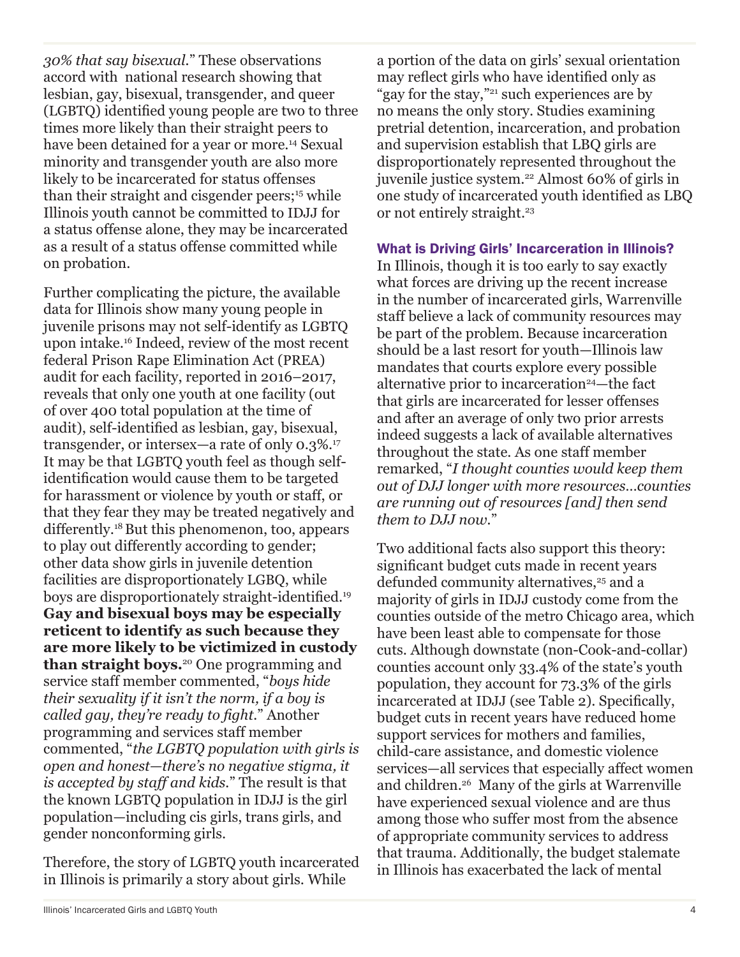*30% that say bisexual.*" These observations accord with national research showing that lesbian, gay, bisexual, transgender, and queer (LGBTQ) identified young people are two to three times more likely than their straight peers to have been detained for a year or more.<sup>14</sup> Sexual minority and transgender youth are also more likely to be incarcerated for status offenses than their straight and cisgender peers;<sup>15</sup> while Illinois youth cannot be committed to IDJJ for a status offense alone, they may be incarcerated as a result of a status offense committed while on probation.

Further complicating the picture, the available data for Illinois show many young people in juvenile prisons may not self-identify as LGBTQ upon intake.16 Indeed, review of the most recent federal Prison Rape Elimination Act (PREA) audit for each facility, reported in 2016–2017, reveals that only one youth at one facility (out of over 400 total population at the time of audit), self-identified as lesbian, gay, bisexual, transgender, or intersex—a rate of only 0.3%.17 It may be that LGBTQ youth feel as though selfidentification would cause them to be targeted for harassment or violence by youth or staff, or that they fear they may be treated negatively and differently.<sup>18</sup> But this phenomenon, too, appears to play out differently according to gender; other data show girls in juvenile detention facilities are disproportionately LGBQ, while boys are disproportionately straight-identified.<sup>19</sup> **Gay and bisexual boys may be especially reticent to identify as such because they are more likely to be victimized in custody than straight boys.**20 One programming and service staff member commented, "*boys hide their sexuality if it isn't the norm, if a boy is called gay, they're ready to fight.*" Another programming and services staff member commented, "*the LGBTQ population with girls is open and honest—there's no negative stigma, it is accepted by staff and kids.*" The result is that the known LGBTQ population in IDJJ is the girl population—including cis girls, trans girls, and gender nonconforming girls.

Therefore, the story of LGBTQ youth incarcerated in Illinois is primarily a story about girls. While

a portion of the data on girls' sexual orientation may reflect girls who have identified only as "gay for the stay,"<sup>21</sup> such experiences are by no means the only story. Studies examining pretrial detention, incarceration, and probation and supervision establish that LBQ girls are disproportionately represented throughout the juvenile justice system.<sup>22</sup> Almost 60% of girls in one study of incarcerated youth identified as LBQ or not entirely straight.<sup>23</sup>

#### What is Driving Girls' Incarceration in Illinois?

In Illinois, though it is too early to say exactly what forces are driving up the recent increase in the number of incarcerated girls, Warrenville staff believe a lack of community resources may be part of the problem. Because incarceration should be a last resort for youth—Illinois law mandates that courts explore every possible alternative prior to incarceration<sup>24</sup>—the fact that girls are incarcerated for lesser offenses and after an average of only two prior arrests indeed suggests a lack of available alternatives throughout the state. As one staff member remarked, "*I thought counties would keep them out of DJJ longer with more resources…counties are running out of resources [and] then send them to DJJ now.*"

Two additional facts also support this theory: significant budget cuts made in recent years defunded community alternatives,<sup>25</sup> and a majority of girls in IDJJ custody come from the counties outside of the metro Chicago area, which have been least able to compensate for those cuts. Although downstate (non-Cook-and-collar) counties account only 33.4% of the state's youth population, they account for 73.3% of the girls incarcerated at IDJJ (see Table 2). Specifically, budget cuts in recent years have reduced home support services for mothers and families, child-care assistance, and domestic violence services—all services that especially affect women and children.26 Many of the girls at Warrenville have experienced sexual violence and are thus among those who suffer most from the absence of appropriate community services to address that trauma. Additionally, the budget stalemate in Illinois has exacerbated the lack of mental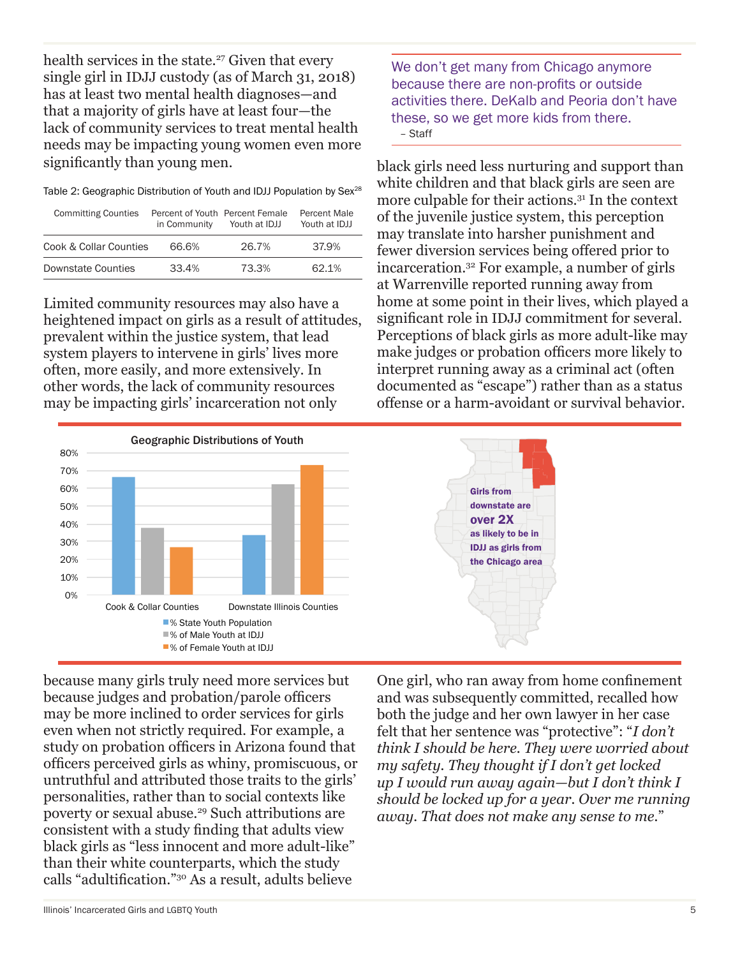health services in the state.<sup>27</sup> Given that every single girl in IDJJ custody (as of March 31, 2018) has at least two mental health diagnoses—and that a majority of girls have at least four—the lack of community services to treat mental health needs may be impacting young women even more significantly than young men.

Table 2: Geographic Distribution of Youth and IDJJ Population by Sex<sup>28</sup>

| <b>Committing Counties</b> | Percent of Youth Percent Female<br>in Community | Youth at IDJJ | Percent Male<br>Youth at IDJJ |
|----------------------------|-------------------------------------------------|---------------|-------------------------------|
| Cook & Collar Counties     | 66.6%                                           | 26.7%         | 37.9%                         |
| <b>Downstate Counties</b>  | 33.4%                                           | 73.3%         | 62.1%                         |

Limited community resources may also have a heightened impact on girls as a result of attitudes, prevalent within the justice system, that lead system players to intervene in girls' lives more often, more easily, and more extensively. In other words, the lack of community resources may be impacting girls' incarceration not only



We don't get many from Chicago anymore because there are non-profits or outside activities there. DeKalb and Peoria don't have these, so we get more kids from there. – Staff

black girls need less nurturing and support than white children and that black girls are seen are more culpable for their actions.31 In the context of the juvenile justice system, this perception may translate into harsher punishment and fewer diversion services being offered prior to incarceration.32 For example, a number of girls at Warrenville reported running away from home at some point in their lives, which played a significant role in IDJJ commitment for several. Perceptions of black girls as more adult-like may make judges or probation officers more likely to interpret running away as a criminal act (often documented as "escape") rather than as a status offense or a harm-avoidant or survival behavior.



because many girls truly need more services but because judges and probation/parole officers may be more inclined to order services for girls even when not strictly required. For example, a study on probation officers in Arizona found that officers perceived girls as whiny, promiscuous, or untruthful and attributed those traits to the girls' personalities, rather than to social contexts like poverty or sexual abuse.29 Such attributions are consistent with a study finding that adults view black girls as "less innocent and more adult-like" than their white counterparts, which the study calls "adultification."30 As a result, adults believe

One girl, who ran away from home confinement and was subsequently committed, recalled how both the judge and her own lawyer in her case felt that her sentence was "protective": "*I don't think I should be here. They were worried about my safety. They thought if I don't get locked up I would run away again—but I don't think I should be locked up for a year. Over me running away. That does not make any sense to me.*"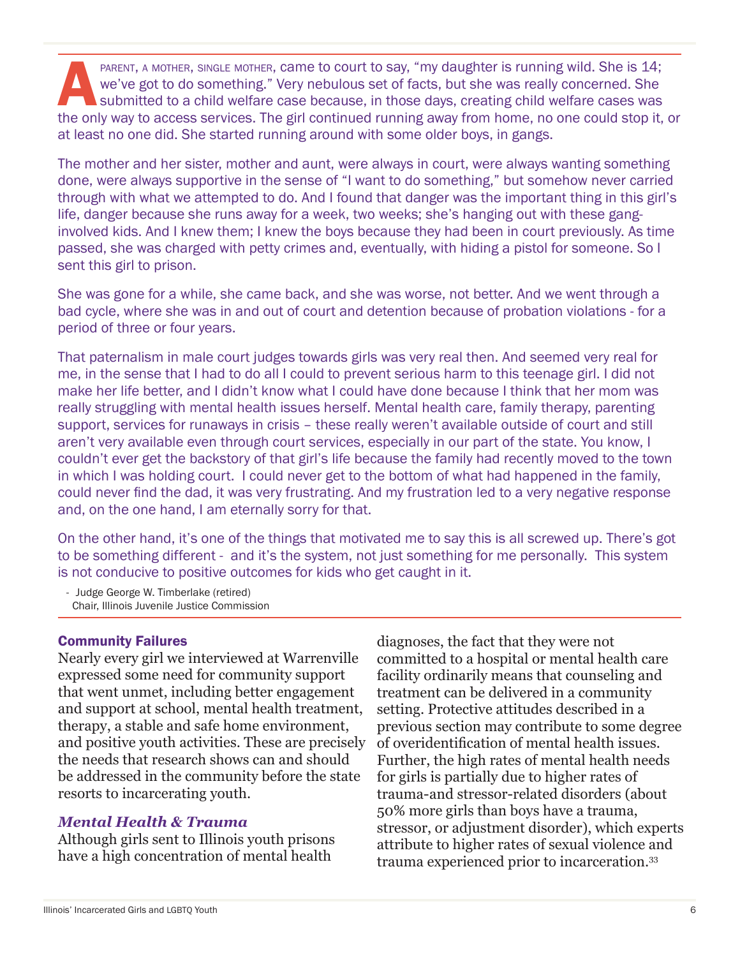PARENT, A MOTHER, SINGLE MOTHER, Came to court to say, "my daughter is running wild. She is 14;<br>we've got to do something." Very nebulous set of facts, but she was really concerned. She<br>submitted to a child welfare case be we've got to do something." Very nebulous set of facts, but she was really concerned. She submitted to a child welfare case because, in those days, creating child welfare cases was the only way to access services. The girl continued running away from home, no one could stop it, or at least no one did. She started running around with some older boys, in gangs.

The mother and her sister, mother and aunt, were always in court, were always wanting something done, were always supportive in the sense of "I want to do something," but somehow never carried through with what we attempted to do. And I found that danger was the important thing in this girl's life, danger because she runs away for a week, two weeks; she's hanging out with these ganginvolved kids. And I knew them; I knew the boys because they had been in court previously. As time passed, she was charged with petty crimes and, eventually, with hiding a pistol for someone. So I sent this girl to prison.

She was gone for a while, she came back, and she was worse, not better. And we went through a bad cycle, where she was in and out of court and detention because of probation violations - for a period of three or four years.

That paternalism in male court judges towards girls was very real then. And seemed very real for me, in the sense that I had to do all I could to prevent serious harm to this teenage girl. I did not make her life better, and I didn't know what I could have done because I think that her mom was really struggling with mental health issues herself. Mental health care, family therapy, parenting support, services for runaways in crisis – these really weren't available outside of court and still aren't very available even through court services, especially in our part of the state. You know, I couldn't ever get the backstory of that girl's life because the family had recently moved to the town in which I was holding court. I could never get to the bottom of what had happened in the family, could never find the dad, it was very frustrating. And my frustration led to a very negative response and, on the one hand, I am eternally sorry for that.

On the other hand, it's one of the things that motivated me to say this is all screwed up. There's got to be something different - and it's the system, not just something for me personally. This system is not conducive to positive outcomes for kids who get caught in it.

- Judge George W. Timberlake (retired) Chair, Illinois Juvenile Justice Commission

#### Community Failures

Nearly every girl we interviewed at Warrenville expressed some need for community support that went unmet, including better engagement and support at school, mental health treatment, therapy, a stable and safe home environment, and positive youth activities. These are precisely the needs that research shows can and should be addressed in the community before the state resorts to incarcerating youth.

#### *Mental Health & Trauma*

Although girls sent to Illinois youth prisons have a high concentration of mental health

diagnoses, the fact that they were not committed to a hospital or mental health care facility ordinarily means that counseling and treatment can be delivered in a community setting. Protective attitudes described in a previous section may contribute to some degree of overidentification of mental health issues. Further, the high rates of mental health needs for girls is partially due to higher rates of trauma-and stressor-related disorders (about 50% more girls than boys have a trauma, stressor, or adjustment disorder), which experts attribute to higher rates of sexual violence and trauma experienced prior to incarceration.33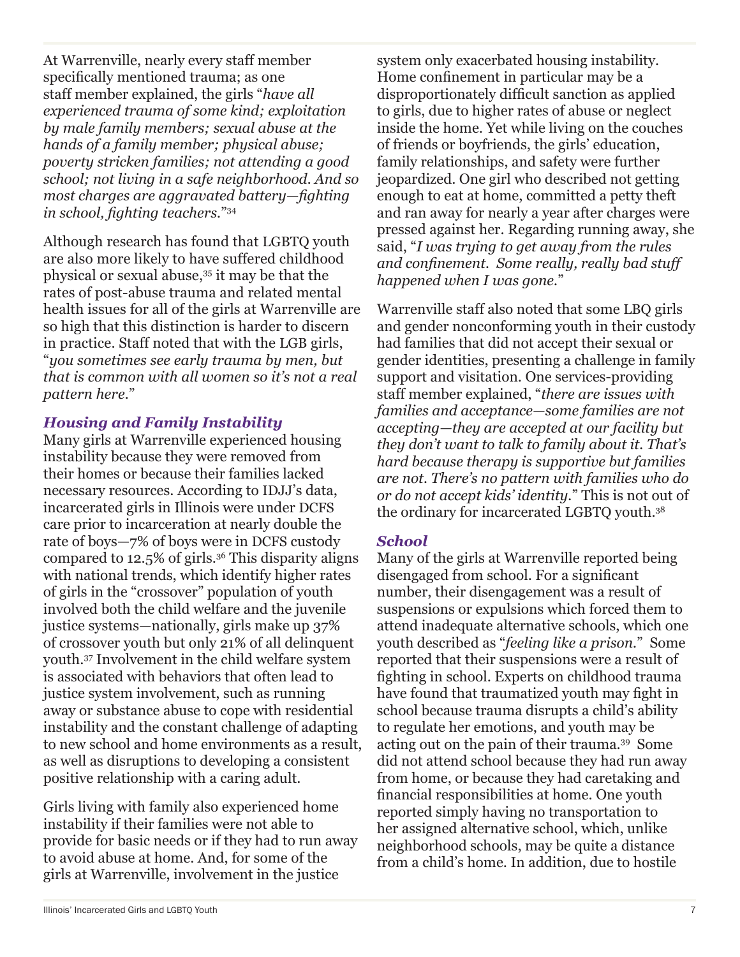At Warrenville, nearly every staff member specifically mentioned trauma; as one staff member explained, the girls "*have all experienced trauma of some kind; exploitation by male family members; sexual abuse at the hands of a family member; physical abuse; poverty stricken families; not attending a good school; not living in a safe neighborhood. And so most charges are aggravated battery—fighting in school, fighting teachers.*"34

Although research has found that LGBTQ youth are also more likely to have suffered childhood physical or sexual abuse,35 it may be that the rates of post-abuse trauma and related mental health issues for all of the girls at Warrenville are so high that this distinction is harder to discern in practice. Staff noted that with the LGB girls, "*you sometimes see early trauma by men, but that is common with all women so it's not a real pattern here.*"

### *Housing and Family Instability*

Many girls at Warrenville experienced housing instability because they were removed from their homes or because their families lacked necessary resources. According to IDJJ's data, incarcerated girls in Illinois were under DCFS care prior to incarceration at nearly double the rate of boys—7% of boys were in DCFS custody compared to 12.5% of girls.36 This disparity aligns with national trends, which identify higher rates of girls in the "crossover" population of youth involved both the child welfare and the juvenile justice systems—nationally, girls make up 37% of crossover youth but only 21% of all delinquent youth.37 Involvement in the child welfare system is associated with behaviors that often lead to justice system involvement, such as running away or substance abuse to cope with residential instability and the constant challenge of adapting to new school and home environments as a result, as well as disruptions to developing a consistent positive relationship with a caring adult.

Girls living with family also experienced home instability if their families were not able to provide for basic needs or if they had to run away to avoid abuse at home. And, for some of the girls at Warrenville, involvement in the justice

system only exacerbated housing instability. Home confinement in particular may be a disproportionately difficult sanction as applied to girls, due to higher rates of abuse or neglect inside the home. Yet while living on the couches of friends or boyfriends, the girls' education, family relationships, and safety were further jeopardized. One girl who described not getting enough to eat at home, committed a petty theft and ran away for nearly a year after charges were pressed against her. Regarding running away, she said, "*I was trying to get away from the rules and confinement. Some really, really bad stuff happened when I was gone.*"

Warrenville staff also noted that some LBQ girls and gender nonconforming youth in their custody had families that did not accept their sexual or gender identities, presenting a challenge in family support and visitation. One services-providing staff member explained, "*there are issues with families and acceptance—some families are not accepting—they are accepted at our facility but they don't want to talk to family about it. That's hard because therapy is supportive but families are not. There's no pattern with families who do or do not accept kids' identity.*" This is not out of the ordinary for incarcerated LGBTQ youth.38

### *School*

Many of the girls at Warrenville reported being disengaged from school. For a significant number, their disengagement was a result of suspensions or expulsions which forced them to attend inadequate alternative schools, which one youth described as "*feeling like a prison.*" Some reported that their suspensions were a result of fighting in school. Experts on childhood trauma have found that traumatized youth may fight in school because trauma disrupts a child's ability to regulate her emotions, and youth may be acting out on the pain of their trauma.39 Some did not attend school because they had run away from home, or because they had caretaking and financial responsibilities at home. One youth reported simply having no transportation to her assigned alternative school, which, unlike neighborhood schools, may be quite a distance from a child's home. In addition, due to hostile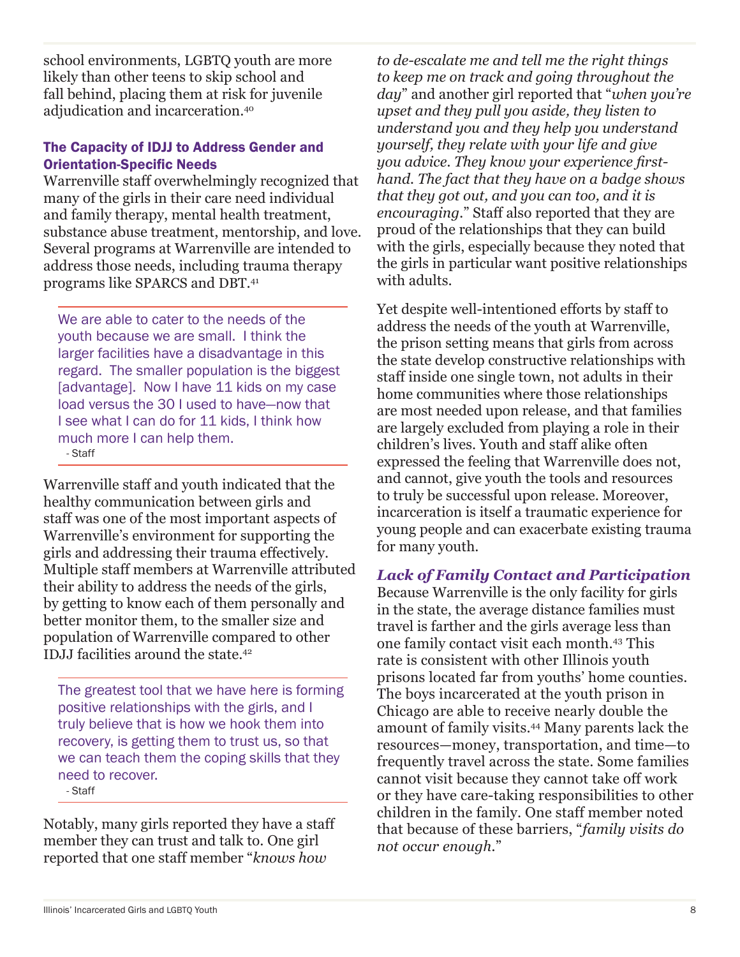school environments, LGBTQ youth are more likely than other teens to skip school and fall behind, placing them at risk for juvenile adjudication and incarceration.<sup>40</sup>

### The Capacity of IDJJ to Address Gender and Orientation-Specific Needs

Warrenville staff overwhelmingly recognized that many of the girls in their care need individual and family therapy, mental health treatment, substance abuse treatment, mentorship, and love. Several programs at Warrenville are intended to address those needs, including trauma therapy programs like SPARCS and DBT. 41

We are able to cater to the needs of the youth because we are small. I think the larger facilities have a disadvantage in this regard. The smaller population is the biggest [advantage]. Now I have 11 kids on my case load versus the 30 I used to have—now that I see what I can do for 11 kids, I think how much more I can help them. - Staff

Warrenville staff and youth indicated that the healthy communication between girls and staff was one of the most important aspects of Warrenville's environment for supporting the girls and addressing their trauma effectively. Multiple staff members at Warrenville attributed their ability to address the needs of the girls, by getting to know each of them personally and better monitor them, to the smaller size and population of Warrenville compared to other IDJJ facilities around the state.<sup>42</sup>

The greatest tool that we have here is forming positive relationships with the girls, and I truly believe that is how we hook them into recovery, is getting them to trust us, so that we can teach them the coping skills that they need to recover. - Staff

Notably, many girls reported they have a staff member they can trust and talk to. One girl reported that one staff member "*knows how* 

*to de-escalate me and tell me the right things to keep me on track and going throughout the day*" and another girl reported that "*when you're upset and they pull you aside, they listen to understand you and they help you understand yourself, they relate with your life and give you advice. They know your experience firsthand. The fact that they have on a badge shows that they got out, and you can too, and it is encouraging.*" Staff also reported that they are proud of the relationships that they can build with the girls, especially because they noted that the girls in particular want positive relationships with adults.

Yet despite well-intentioned efforts by staff to address the needs of the youth at Warrenville, the prison setting means that girls from across the state develop constructive relationships with staff inside one single town, not adults in their home communities where those relationships are most needed upon release, and that families are largely excluded from playing a role in their children's lives. Youth and staff alike often expressed the feeling that Warrenville does not, and cannot, give youth the tools and resources to truly be successful upon release. Moreover, incarceration is itself a traumatic experience for young people and can exacerbate existing trauma for many youth.

### *Lack of Family Contact and Participation*

Because Warrenville is the only facility for girls in the state, the average distance families must travel is farther and the girls average less than one family contact visit each month.43 This rate is consistent with other Illinois youth prisons located far from youths' home counties. The boys incarcerated at the youth prison in Chicago are able to receive nearly double the amount of family visits.44 Many parents lack the resources—money, transportation, and time—to frequently travel across the state. Some families cannot visit because they cannot take off work or they have care-taking responsibilities to other children in the family. One staff member noted that because of these barriers, "*family visits do not occur enough.*"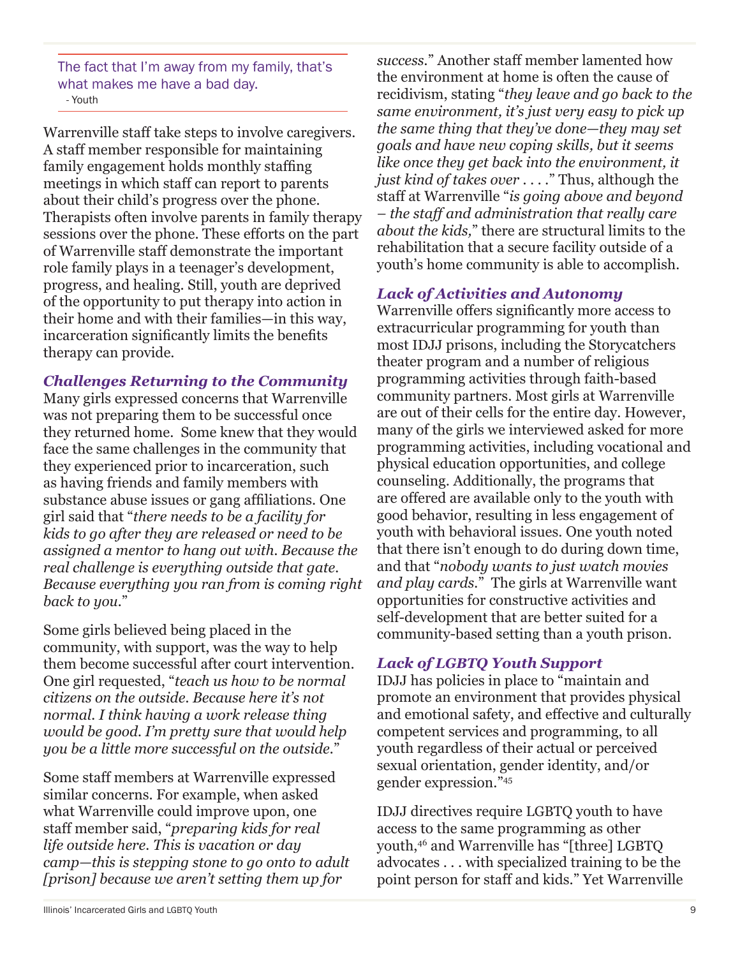The fact that I'm away from my family, that's what makes me have a bad day. - Youth

Warrenville staff take steps to involve caregivers. A staff member responsible for maintaining family engagement holds monthly staffing meetings in which staff can report to parents about their child's progress over the phone. Therapists often involve parents in family therapy sessions over the phone. These efforts on the part of Warrenville staff demonstrate the important role family plays in a teenager's development, progress, and healing. Still, youth are deprived of the opportunity to put therapy into action in their home and with their families—in this way, incarceration significantly limits the benefits therapy can provide.

### *Challenges Returning to the Community*

Many girls expressed concerns that Warrenville was not preparing them to be successful once they returned home. Some knew that they would face the same challenges in the community that they experienced prior to incarceration, such as having friends and family members with substance abuse issues or gang affiliations. One girl said that "*there needs to be a facility for kids to go after they are released or need to be assigned a mentor to hang out with. Because the real challenge is everything outside that gate. Because everything you ran from is coming right back to you.*"

Some girls believed being placed in the community, with support, was the way to help them become successful after court intervention. One girl requested, "*teach us how to be normal citizens on the outside. Because here it's not normal. I think having a work release thing would be good. I'm pretty sure that would help you be a little more successful on the outside.*"

Some staff members at Warrenville expressed similar concerns. For example, when asked what Warrenville could improve upon, one staff member said, "*preparing kids for real life outside here. This is vacation or day camp—this is stepping stone to go onto to adult [prison] because we aren't setting them up for* 

*success.*" Another staff member lamented how the environment at home is often the cause of recidivism, stating "*they leave and go back to the same environment, it's just very easy to pick up the same thing that they've done—they may set goals and have new coping skills, but it seems like once they get back into the environment, it just kind of takes over . . . .*" Thus, although the staff at Warrenville "*is going above and beyond – the staff and administration that really care about the kids,*" there are structural limits to the rehabilitation that a secure facility outside of a youth's home community is able to accomplish.

### *Lack of Activities and Autonomy*

Warrenville offers significantly more access to extracurricular programming for youth than most IDJJ prisons, including the Storycatchers theater program and a number of religious programming activities through faith-based community partners. Most girls at Warrenville are out of their cells for the entire day. However, many of the girls we interviewed asked for more programming activities, including vocational and physical education opportunities, and college counseling. Additionally, the programs that are offered are available only to the youth with good behavior, resulting in less engagement of youth with behavioral issues. One youth noted that there isn't enough to do during down time, and that "*nobody wants to just watch movies and play cards.*" The girls at Warrenville want opportunities for constructive activities and self-development that are better suited for a community-based setting than a youth prison.

### *Lack of LGBTQ Youth Support*

IDJJ has policies in place to "maintain and promote an environment that provides physical and emotional safety, and effective and culturally competent services and programming, to all youth regardless of their actual or perceived sexual orientation, gender identity, and/or gender expression."45

IDJJ directives require LGBTQ youth to have access to the same programming as other youth,46 and Warrenville has "[three] LGBTQ advocates . . . with specialized training to be the point person for staff and kids." Yet Warrenville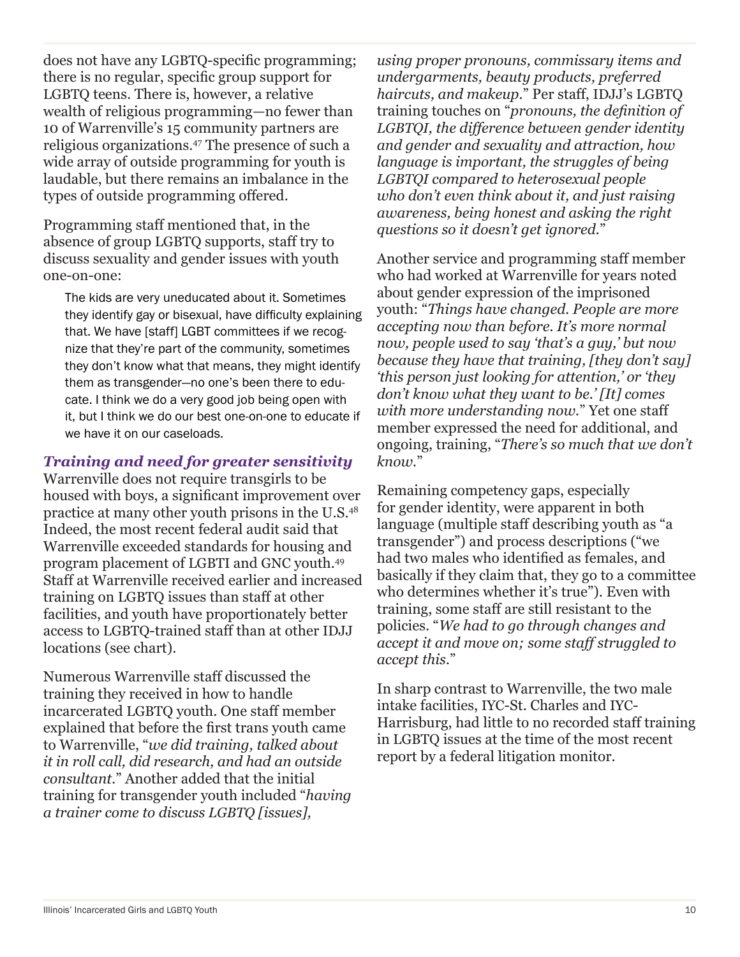does not have any LGBTQ-specific programming; there is no regular, specific group support for LGBTQ teens. There is, however, a relative wealth of religious programming—no fewer than 10 of Warrenville's 15 community partners are religious organizations.47 The presence of such a wide array of outside programming for youth is laudable, but there remains an imbalance in the types of outside programming offered.

Programming staff mentioned that, in the absence of group LGBTQ supports, staff try to discuss sexuality and gender issues with youth one-on-one:

The kids are very uneducated about it. Sometimes they identify gay or bisexual, have difficulty explaining that. We have [staff] LGBT committees if we recognize that they're part of the community, sometimes they don't know what that means, they might identify them as transgender—no one's been there to educate. I think we do a very good job being open with it, but I think we do our best one-on-one to educate if we have it on our caseloads.

### *Training and need for greater sensitivity*

Warrenville does not require transgirls to be housed with boys, a significant improvement over practice at many other youth prisons in the U.S.48 Indeed, the most recent federal audit said that Warrenville exceeded standards for housing and program placement of LGBTI and GNC youth.49 Staff at Warrenville received earlier and increased training on LGBTQ issues than staff at other facilities, and youth have proportionately better access to LGBTQ-trained staff than at other IDJJ locations (see chart).

Numerous Warrenville staff discussed the training they received in how to handle incarcerated LGBTQ youth. One staff member explained that before the first trans youth came to Warrenville, "*we did training, talked about it in roll call, did research, and had an outside consultant.*" Another added that the initial training for transgender youth included "*having a trainer come to discuss LGBTQ [issues],* 

*using proper pronouns, commissary items and undergarments, beauty products, preferred haircuts, and makeup.*" Per staff, IDJJ's LGBTQ training touches on "*pronouns, the definition of LGBTQI, the difference between gender identity and gender and sexuality and attraction, how language is important, the struggles of being LGBTQI compared to heterosexual people who don't even think about it, and just raising awareness, being honest and asking the right questions so it doesn't get ignored.*"

Another service and programming staff member who had worked at Warrenville for years noted about gender expression of the imprisoned youth: "*Things have changed. People are more accepting now than before. It's more normal now, people used to say 'that's a guy,' but now because they have that training, [they don't say] 'this person just looking for attention,' or 'they don't know what they want to be.' [It] comes with more understanding now.*" Yet one staff member expressed the need for additional, and ongoing, training, "*There's so much that we don't know.*"

Remaining competency gaps, especially for gender identity, were apparent in both language (multiple staff describing youth as "a transgender") and process descriptions ("we had two males who identified as females, and basically if they claim that, they go to a committee who determines whether it's true"). Even with training, some staff are still resistant to the policies. "*We had to go through changes and accept it and move on; some staff struggled to accept this.*"

In sharp contrast to Warrenville, the two male intake facilities, IYC-St. Charles and IYC-Harrisburg, had little to no recorded staff training in LGBTQ issues at the time of the most recent report by a federal litigation monitor.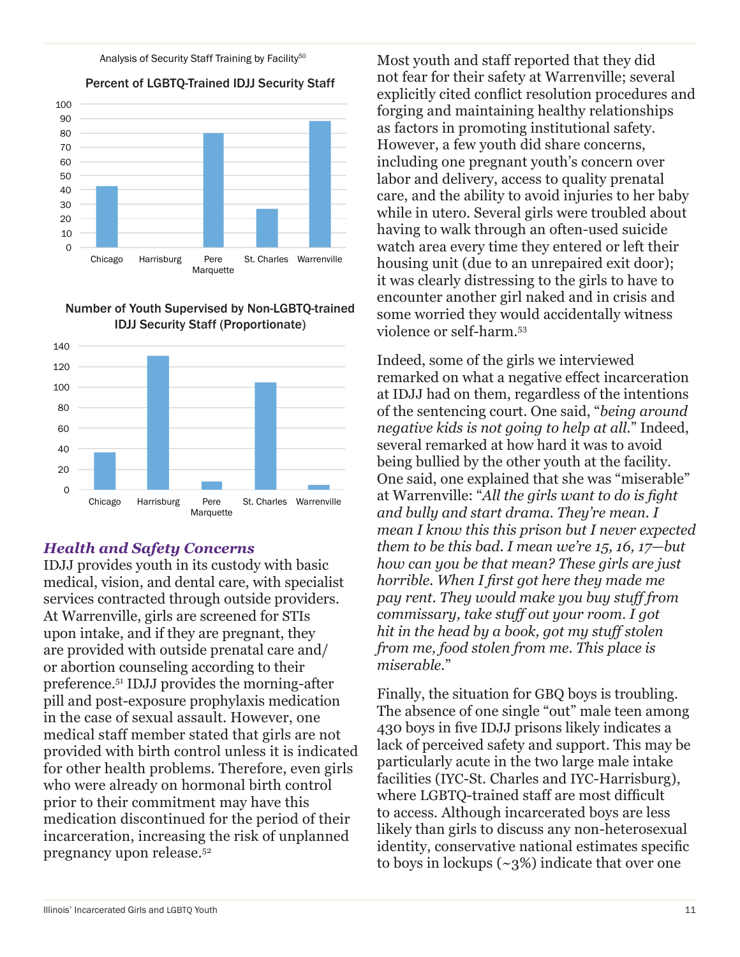#### Analysis of Security Staff Training by Facility<sup>50</sup>

Percent of LGBTQ-Trained IDJJ Security Staff



#### Number of Youth Supervised by Non-LGBTQ-trained IDJJ Security Staff (Proportionate)

### *Health and Safety Concerns*

IDJJ provides youth in its custody with basic medical, vision, and dental care, with specialist services contracted through outside providers. At Warrenville, girls are screened for STIs upon intake, and if they are pregnant, they are provided with outside prenatal care and/ or abortion counseling according to their preference.51 IDJJ provides the morning-after pill and post-exposure prophylaxis medication in the case of sexual assault. However, one medical staff member stated that girls are not provided with birth control unless it is indicated for other health problems. Therefore, even girls who were already on hormonal birth control prior to their commitment may have this medication discontinued for the period of their incarceration, increasing the risk of unplanned pregnancy upon release.52

Most youth and staff reported that they did not fear for their safety at Warrenville; several explicitly cited conflict resolution procedures and forging and maintaining healthy relationships as factors in promoting institutional safety. However, a few youth did share concerns, including one pregnant youth's concern over labor and delivery, access to quality prenatal care, and the ability to avoid injuries to her baby while in utero. Several girls were troubled about having to walk through an often-used suicide watch area every time they entered or left their housing unit (due to an unrepaired exit door); it was clearly distressing to the girls to have to encounter another girl naked and in crisis and some worried they would accidentally witness violence or self-harm.53

Indeed, some of the girls we interviewed remarked on what a negative effect incarceration at IDJJ had on them, regardless of the intentions of the sentencing court. One said, "*being around negative kids is not going to help at all.*" Indeed, several remarked at how hard it was to avoid being bullied by the other youth at the facility. One said, one explained that she was "miserable" at Warrenville: "*All the girls want to do is fight and bully and start drama. They're mean. I mean I know this this prison but I never expected them to be this bad. I mean we're 15, 16, 17—but how can you be that mean? These girls are just horrible. When I first got here they made me pay rent. They would make you buy stuff from commissary, take stuff out your room. I got hit in the head by a book, got my stuff stolen from me, food stolen from me. This place is miserable.*"

Finally, the situation for GBQ boys is troubling. The absence of one single "out" male teen among 430 boys in five IDJJ prisons likely indicates a lack of perceived safety and support. This may be particularly acute in the two large male intake facilities (IYC-St. Charles and IYC-Harrisburg), where LGBTQ-trained staff are most difficult to access. Although incarcerated boys are less likely than girls to discuss any non-heterosexual identity, conservative national estimates specific to boys in lockups  $({\sim}3\%)$  indicate that over one

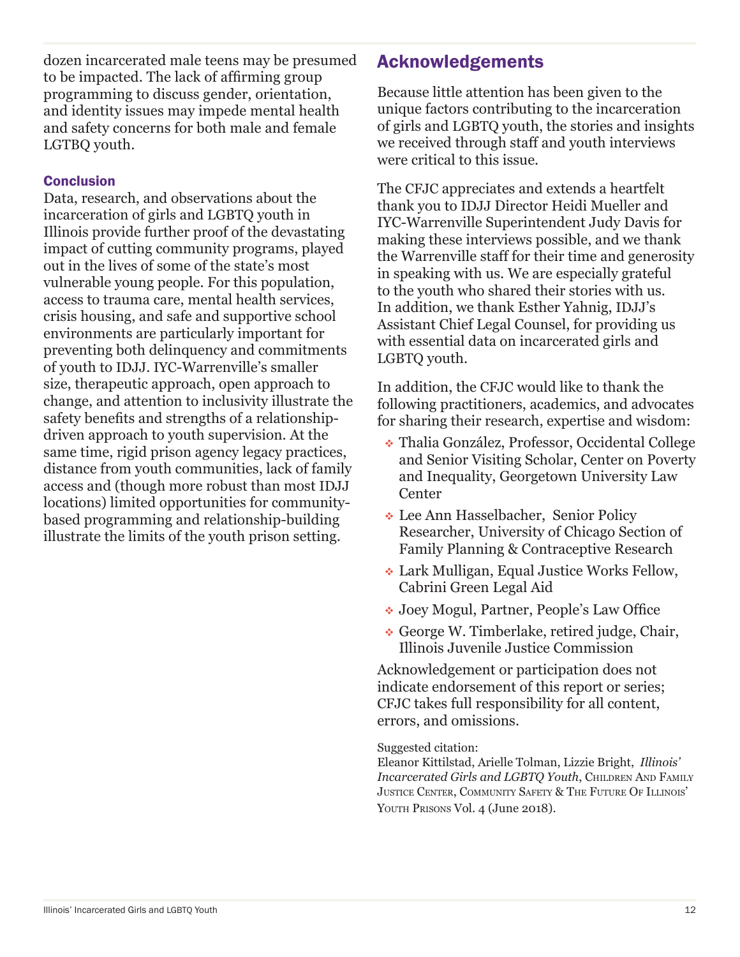dozen incarcerated male teens may be presumed to be impacted. The lack of affirming group programming to discuss gender, orientation, and identity issues may impede mental health and safety concerns for both male and female LGTBQ youth.

### **Conclusion**

Data, research, and observations about the incarceration of girls and LGBTQ youth in Illinois provide further proof of the devastating impact of cutting community programs, played out in the lives of some of the state's most vulnerable young people. For this population, access to trauma care, mental health services, crisis housing, and safe and supportive school environments are particularly important for preventing both delinquency and commitments of youth to IDJJ. IYC-Warrenville's smaller size, therapeutic approach, open approach to change, and attention to inclusivity illustrate the safety benefits and strengths of a relationshipdriven approach to youth supervision. At the same time, rigid prison agency legacy practices, distance from youth communities, lack of family access and (though more robust than most IDJJ locations) limited opportunities for communitybased programming and relationship-building illustrate the limits of the youth prison setting.

## Acknowledgements

Because little attention has been given to the unique factors contributing to the incarceration of girls and LGBTQ youth, the stories and insights we received through staff and youth interviews were critical to this issue.

The CFJC appreciates and extends a heartfelt thank you to IDJJ Director Heidi Mueller and IYC-Warrenville Superintendent Judy Davis for making these interviews possible, and we thank the Warrenville staff for their time and generosity in speaking with us. We are especially grateful to the youth who shared their stories with us. In addition, we thank Esther Yahnig, IDJJ's Assistant Chief Legal Counsel, for providing us with essential data on incarcerated girls and LGBTQ youth.

In addition, the CFJC would like to thank the following practitioners, academics, and advocates for sharing their research, expertise and wisdom:

- Thalia González, Professor, Occidental College and Senior Visiting Scholar, Center on Poverty and Inequality, Georgetown University Law **Center**
- Lee Ann Hasselbacher, Senior Policy Researcher, University of Chicago Section of Family Planning & Contraceptive Research
- Lark Mulligan, Equal Justice Works Fellow, Cabrini Green Legal Aid
- Joey Mogul, Partner, People's Law Office
- George W. Timberlake, retired judge, Chair, Illinois Juvenile Justice Commission

Acknowledgement or participation does not indicate endorsement of this report or series; CFJC takes full responsibility for all content, errors, and omissions.

#### Suggested citation:

Eleanor Kittilstad, Arielle Tolman, Lizzie Bright, *Illinois' Incarcerated Girls and LGBTQ Youth*, Children And Family Justice Center, Community Safety & The Future Of Illinois' YOUTH PRISONS Vol. 4 (June 2018).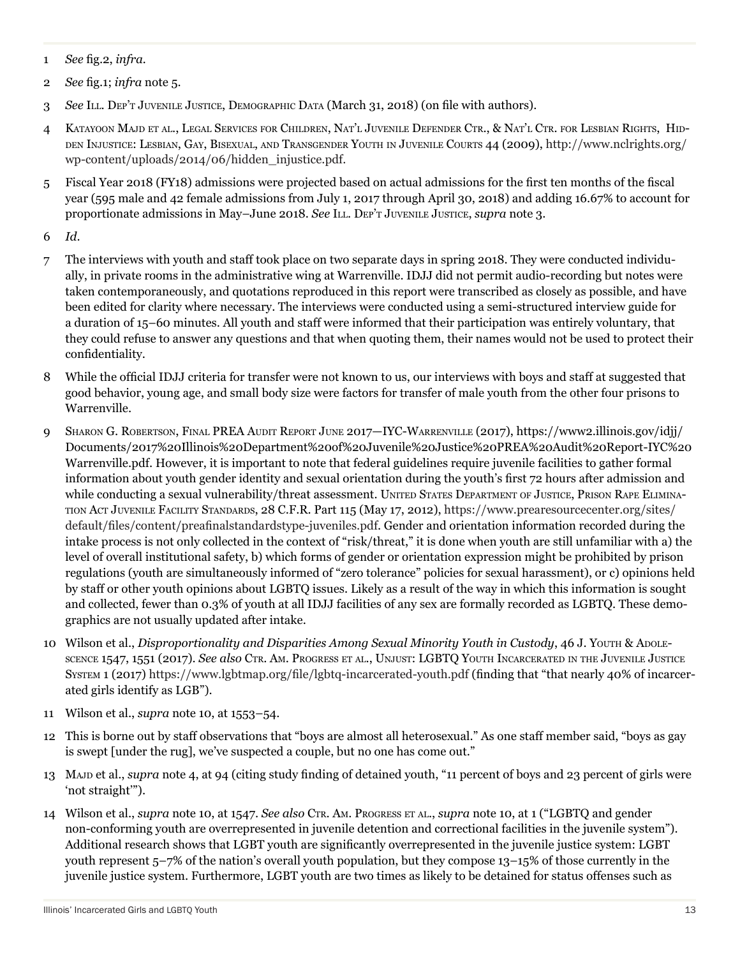- 1 *See* fig.2, *infra.*
- 2 *See* fig.1; *infra* note 5.
- 3 *See* Ill. Dep't Juvenile Justice, Demographic Data (March 31, 2018) (on file with authors).
- 4 Katayoon Majd et al., Legal Services for Children, Nat'l Juvenile Defender Ctr., & Nat'l Ctr. for Lesbian Rights, Hidden Injustice: Lesbian, Gay, Bisexual, and Transgender Youth in Juvenile Courts 44 (2009), http://www.nclrights.org/ wp-content/uploads/2014/06/hidden\_injustice.pdf.
- 5 Fiscal Year 2018 (FY18) admissions were projected based on actual admissions for the first ten months of the fiscal year (595 male and 42 female admissions from July 1, 2017 through April 30, 2018) and adding 16.67% to account for proportionate admissions in May–June 2018. *See* Ill. Dep't Juvenile Justice, *supra* note 3.
- 6 *Id*.
- 7 The interviews with youth and staff took place on two separate days in spring 2018. They were conducted individually, in private rooms in the administrative wing at Warrenville. IDJJ did not permit audio-recording but notes were taken contemporaneously, and quotations reproduced in this report were transcribed as closely as possible, and have been edited for clarity where necessary. The interviews were conducted using a semi-structured interview guide for a duration of 15–60 minutes. All youth and staff were informed that their participation was entirely voluntary, that they could refuse to answer any questions and that when quoting them, their names would not be used to protect their confidentiality.
- 8 While the official IDJJ criteria for transfer were not known to us, our interviews with boys and staff at suggested that good behavior, young age, and small body size were factors for transfer of male youth from the other four prisons to Warrenville.
- 9 SHARON G. ROBERTSON, FINAL PREA AUDIT REPORT JUNE 2017—IYC-WARRENVILLE (2017), https://www2.illinois.gov/idjj/ Documents/2017%20Illinois%20Department%20of%20Juvenile%20Justice%20PREA%20Audit%20Report-IYC%20 Warrenville.pdf. However, it is important to note that federal guidelines require juvenile facilities to gather formal information about youth gender identity and sexual orientation during the youth's first 72 hours after admission and while conducting a sexual vulnerability/threat assessment. UNITED STATES DEPARTMENT OF JUSTICE, PRISON RAPE ELIMINAtion Act Juvenile Facility Standards, 28 C.F.R. Part 115 (May 17, 2012), https://www.prearesourcecenter.org/sites/ default/files/content/preafinalstandardstype-juveniles.pdf. Gender and orientation information recorded during the intake process is not only collected in the context of "risk/threat," it is done when youth are still unfamiliar with a) the level of overall institutional safety, b) which forms of gender or orientation expression might be prohibited by prison regulations (youth are simultaneously informed of "zero tolerance" policies for sexual harassment), or c) opinions held by staff or other youth opinions about LGBTQ issues. Likely as a result of the way in which this information is sought and collected, fewer than 0.3% of youth at all IDJJ facilities of any sex are formally recorded as LGBTQ. These demographics are not usually updated after intake.
- 10 Wilson et al., *Disproportionality and Disparities Among Sexual Minority Youth in Custody*, 46 J. Youth & Abolescence 1547, 1551 (2017). *See also* Ctr. Am. Progress et al., Unjust: LGBTQ Youth Incarcerated in the Juvenile Justice System 1 (2017) https://www.lgbtmap.org/file/lgbtq-incarcerated-youth.pdf (finding that "that nearly 40% of incarcerated girls identify as LGB").
- 11 Wilson et al., *supra* note 10, at 1553–54.
- 12 This is borne out by staff observations that "boys are almost all heterosexual." As one staff member said, "boys as gay is swept [under the rug], we've suspected a couple, but no one has come out."
- 13 Majd et al., *supra* note 4, at 94 (citing study finding of detained youth, "11 percent of boys and 23 percent of girls were 'not straight'").
- 14 Wilson et al., *supra* note 10, at 1547. *See also* Ctr. Am. Progress et al., *supra* note 10, at 1 ("LGBTQ and gender non-conforming youth are overrepresented in juvenile detention and correctional facilities in the juvenile system"). Additional research shows that LGBT youth are significantly overrepresented in the juvenile justice system: LGBT youth represent 5–7% of the nation's overall youth population, but they compose 13–15% of those currently in the juvenile justice system. Furthermore, LGBT youth are two times as likely to be detained for status offenses such as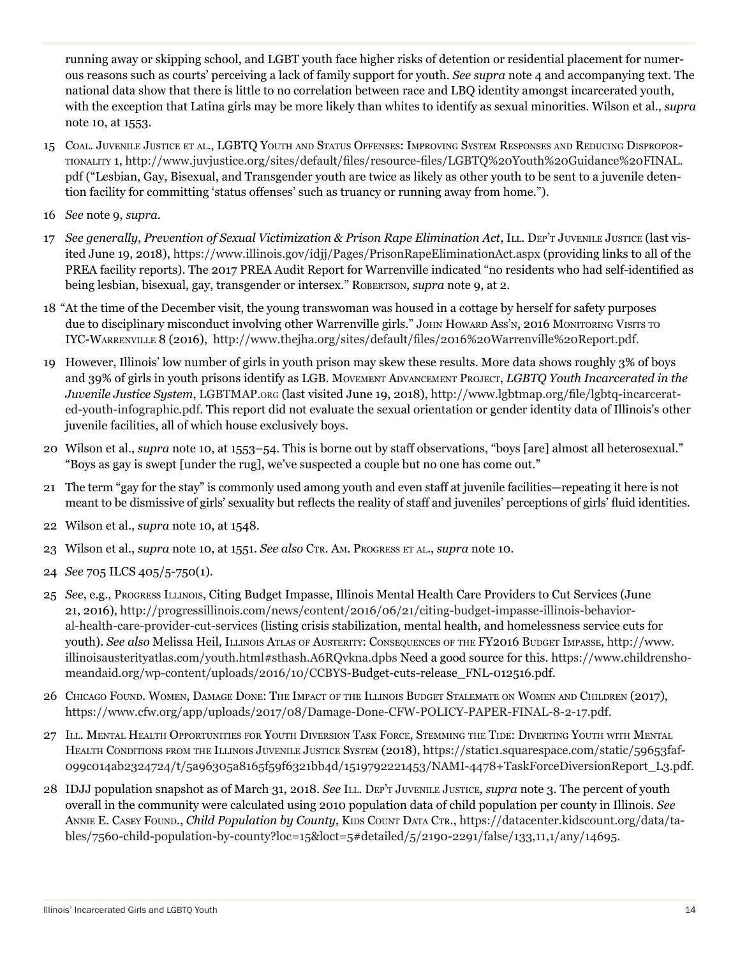running away or skipping school, and LGBT youth face higher risks of detention or residential placement for numerous reasons such as courts' perceiving a lack of family support for youth. *See supra* note 4 and accompanying text. The national data show that there is little to no correlation between race and LBQ identity amongst incarcerated youth, with the exception that Latina girls may be more likely than whites to identify as sexual minorities. Wilson et al., *supra* note 10, at 1553.

- 15 Coal. Juvenile Justice et al., LGBTQ Youth and Status Offenses: Improving System Responses and Reducing Disproportionality 1, http://www.juvjustice.org/sites/default/files/resource-files/LGBTQ%20Youth%20Guidance%20FINAL. pdf ("Lesbian, Gay, Bisexual, and Transgender youth are twice as likely as other youth to be sent to a juvenile detention facility for committing 'status offenses' such as truancy or running away from home.").
- 16 *See* note 9, *supra*.
- 17 See generally, Prevention of Sexual Victimization & Prison Rape Elimination Act, ILL. Dep't Juvenue Justice (last visited June 19, 2018), https://www.illinois.gov/idjj/Pages/PrisonRapeEliminationAct.aspx (providing links to all of the PREA facility reports). The 2017 PREA Audit Report for Warrenville indicated "no residents who had self-identified as being lesbian, bisexual, gay, transgender or intersex." Robertson, *supra* note 9, at 2.
- 18 "At the time of the December visit, the young transwoman was housed in a cottage by herself for safety purposes due to disciplinary misconduct involving other Warrenville girls." JOHN HOWARD Ass'N, 2016 MONITORING VISITS TO IYC-Warrenville 8 (2016), http://www.thejha.org/sites/default/files/2016%20Warrenville%20Report.pdf.
- 19 However, Illinois' low number of girls in youth prison may skew these results. More data shows roughly 3% of boys and 39% of girls in youth prisons identify as LGB. Movement Advancement Project, *LGBTQ Youth Incarcerated in the Juvenile Justice System*, LGBTMAP.org (last visited June 19, 2018), http://www.lgbtmap.org/file/lgbtq-incarcerated-youth-infographic.pdf. This report did not evaluate the sexual orientation or gender identity data of Illinois's other juvenile facilities, all of which house exclusively boys.
- 20 Wilson et al., *supra* note 10, at 1553–54. This is borne out by staff observations, "boys [are] almost all heterosexual." "Boys as gay is swept [under the rug], we've suspected a couple but no one has come out."
- 21 The term "gay for the stay" is commonly used among youth and even staff at juvenile facilities—repeating it here is not meant to be dismissive of girls' sexuality but reflects the reality of staff and juveniles' perceptions of girls' fluid identities.
- 22 Wilson et al., *supra* note 10, at 1548.
- 23 Wilson et al., *supra* note 10, at 1551. *See also* Ctr. Am. Progress et al., *supra* note 10.
- 24 *See* 705 ILCS 405/5-750(1).
- 25 *See*, e.g., Progress Illinois, Citing Budget Impasse, Illinois Mental Health Care Providers to Cut Services (June 21, 2016), http://progressillinois.com/news/content/2016/06/21/citing-budget-impasse-illinois-behavioral-health-care-provider-cut-services (listing crisis stabilization, mental health, and homelessness service cuts for youth). *See also* Melissa Heil, Illinois Atlas of Austerity: Consequences of the FY2016 Budget Impasse, http://www. illinoisausterityatlas.com/youth.html#sthash.A6RQvkna.dpbs Need a good source for this. https://www.childrenshomeandaid.org/wp-content/uploads/2016/10/CCBYS-Budget-cuts-release\_FNL-012516.pdf.
- 26 Chicago Found. Women, Damage Done: The Impact of the Illinois Budget Stalemate on Women and Children (2017), https://www.cfw.org/app/uploads/2017/08/Damage-Done-CFW-POLICY-PAPER-FINAL-8-2-17.pdf.
- 27 Ill. Mental Health Opportunities for Youth Diversion Task Force, Stemming the Tide: Diverting Youth with Mental HEALTH CONDITIONS FROM THE ILLINOIS JUVENILE JUSTICE SYSTEM (2018), https://static1.squarespace.com/static/59653faf-099c014ab2324724/t/5a96305a8165f59f6321bb4d/1519792221453/NAMI-4478+TaskForceDiversionReport\_L3.pdf.
- 28 IDJJ population snapshot as of March 31, 2018. *See* Ill. Dep't Juvenile Justice, *supra* note 3. The percent of youth overall in the community were calculated using 2010 population data of child population per county in Illinois. *See* ANNIE E. CASEY FOUND., *Child Population by County*, KIDS COUNT DATA CTR., https://datacenter.kidscount.org/data/tables/7560-child-population-by-county?loc=15&loct=5#detailed/5/2190-2291/false/133,11,1/any/14695.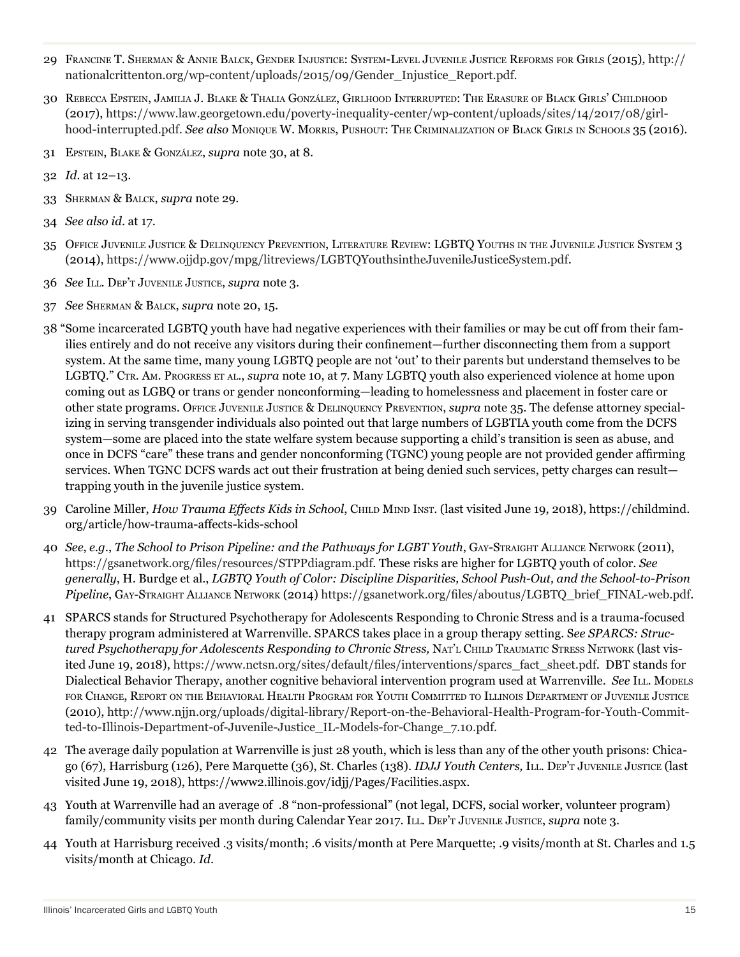- 29 Francine T. Sherman & Annie Balck, Gender Injustice: System-Level Juvenile Justice Reforms for Girls (2015)*,* http:// nationalcrittenton.org/wp-content/uploads/2015/09/Gender\_Injustice\_Report.pdf.
- 30 Rebecca Epstein, Jamilia J. Blake & Thalia González, Girlhood Interrupted: The Erasure of Black Girls' Childhood (2017), https://www.law.georgetown.edu/poverty-inequality-center/wp-content/uploads/sites/14/2017/08/girlhood-interrupted.pdf. *See also* Monique W. Morris, Pushout: The Criminalization of Black Girls in Schools 35 (2016).
- 31 Epstein, Blake & González, *supra* note 30, at 8.
- 32 *Id.* at 12–13.
- 33 Sherman & Balck, *supra* note 29.
- 34 *See also id*. at 17.
- 35 Office Juvenile Justice & Delinquency Prevention, Literature Review: LGBTQ Youths in the Juvenile Justice System 3 (2014), https://www.ojjdp.gov/mpg/litreviews/LGBTQYouthsintheJuvenileJusticeSystem.pdf.
- 36 *See* Ill. Dep't Juvenile Justice, *supra* note 3.
- 37 *See* Sherman & Balck, *supra* note 20, 15.
- 38 "Some incarcerated LGBTQ youth have had negative experiences with their families or may be cut off from their families entirely and do not receive any visitors during their confinement—further disconnecting them from a support system. At the same time, many young LGBTQ people are not 'out' to their parents but understand themselves to be LGBTQ." CTR. AM. PROGRESS ET AL., *supra* note 10, at 7. Many LGBTQ youth also experienced violence at home upon coming out as LGBQ or trans or gender nonconforming—leading to homelessness and placement in foster care or other state programs. Office Juvenile Justice & Delinquency Prevention, *supra* note 35. The defense attorney specializing in serving transgender individuals also pointed out that large numbers of LGBTIA youth come from the DCFS system—some are placed into the state welfare system because supporting a child's transition is seen as abuse, and once in DCFS "care" these trans and gender nonconforming (TGNC) young people are not provided gender affirming services. When TGNC DCFS wards act out their frustration at being denied such services, petty charges can result trapping youth in the juvenile justice system.
- 39 Caroline Miller, *How Trauma Effects Kids in School*, Child Mind Inst. (last visited June 19, 2018), https://childmind. org/article/how-trauma-affects-kids-school
- 40 *See*, *e.g.*, *The School to Prison Pipeline: and the Pathways for LGBT Youth*, Gay-Straight Alliance Network (2011), https://gsanetwork.org/files/resources/STPPdiagram.pdf. These risks are higher for LGBTQ youth of color. *See generally*, H. Burdge et al., *LGBTQ Youth of Color: Discipline Disparities, School Push-Out, and the School-to-Prison Pipeline*, Gay-Straight Alliance Network (2014) https://gsanetwork.org/files/aboutus/LGBTQ\_brief\_FINAL-web.pdf.
- 41 SPARCS stands for Structured Psychotherapy for Adolescents Responding to Chronic Stress and is a trauma-focused therapy program administered at Warrenville. SPARCS takes place in a group therapy setting. S*ee SPARCS: Structured Psychotherapy for Adolescents Responding to Chronic Stress,* Nat'l Child Traumatic Stress Network (last visited June 19, 2018), https://www.nctsn.org/sites/default/files/interventions/sparcs\_fact\_sheet.pdf. DBT stands for Dialectical Behavior Therapy, another cognitive behavioral intervention program used at Warrenville. *See* ILL. Models for Change, Report on the Behavioral Health Program for Youth Committed to Illinois Department of Juvenile Justice (2010), http://www.njjn.org/uploads/digital-library/Report-on-the-Behavioral-Health-Program-for-Youth-Committed-to-Illinois-Department-of-Juvenile-Justice\_IL-Models-for-Change\_7.10.pdf.
- 42 The average daily population at Warrenville is just 28 youth, which is less than any of the other youth prisons: Chicago (67), Harrisburg (126), Pere Marquette (36), St. Charles (138). *IDJJ Youth Centers,* Ill. Dep't Juvenile Justice (last visited June 19, 2018), https://www2.illinois.gov/idjj/Pages/Facilities.aspx.
- 43 Youth at Warrenville had an average of .8 "non-professional" (not legal, DCFS, social worker, volunteer program) family/community visits per month during Calendar Year 2017. Ill. Dep't Juvenile Justice, *supra* note 3.
- 44 Youth at Harrisburg received .3 visits/month; .6 visits/month at Pere Marquette; .9 visits/month at St. Charles and 1.5 visits/month at Chicago. *Id*.